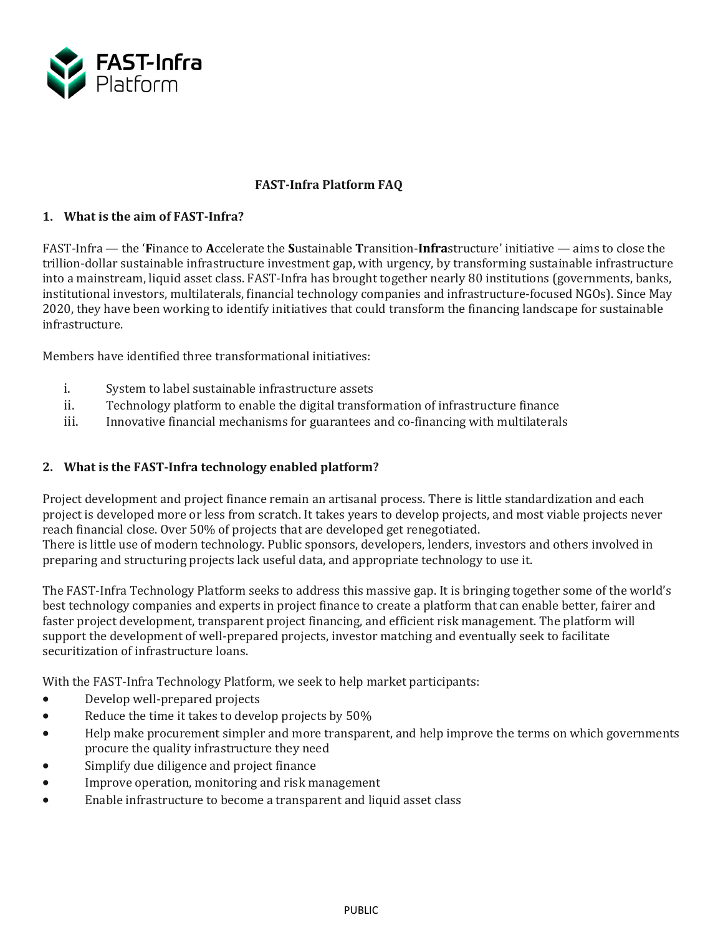

# **FAST-Infra Platform FAQ**

## **1. What is the aim of FAST-Infra?**

FAST-Infra — the '**F**inance to **A**ccelerate the **S**ustainable **T**ransition-**Infra**structure' initiative — aims to close the trillion-dollar sustainable infrastructure investment gap, with urgency, by transforming sustainable infrastructure into a mainstream, liquid asset class. FAST-Infra has brought together nearly 80 institutions (governments, banks, institutional investors, multilaterals, financial technology companies and infrastructure-focused NGOs). Since May 2020, they have been working to identify initiatives that could transform the financing landscape for sustainable infrastructure.

Members have identified three transformational initiatives:

- i. System to label sustainable infrastructure assets<br>ii. Technology platform to enable the digital transfo
- ii. Technology platform to enable the digital transformation of infrastructure finance<br>iii. Innovative financial mechanisms for guarantees and co-financing with multilateral
- Innovative financial mechanisms for guarantees and co-financing with multilaterals

# **2. What is the FAST-Infra technology enabled platform?**

Project development and project finance remain an artisanal process. There is little standardization and each project is developed more or less from scratch. It takes years to develop projects, and most viable projects never reach financial close. Over 50% of projects that are developed get renegotiated.

There is little use of modern technology. Public sponsors, developers, lenders, investors and others involved in preparing and structuring projects lack useful data, and appropriate technology to use it.

The FAST-Infra Technology Platform seeks to address this massive gap. It is bringing together some of the world's best technology companies and experts in project finance to create a platform that can enable better, fairer and faster project development, transparent project financing, and efficient risk management. The platform will support the development of well-prepared projects, investor matching and eventually seek to facilitate securitization of infrastructure loans.

With the FAST-Infra Technology Platform, we seek to help market participants:

- Develop well-prepared projects
- Reduce the time it takes to develop projects by 50%
- Help make procurement simpler and more transparent, and help improve the terms on which governments procure the quality infrastructure they need
- Simplify due diligence and project finance
- Improve operation, monitoring and risk management
- Enable infrastructure to become a transparent and liquid asset class